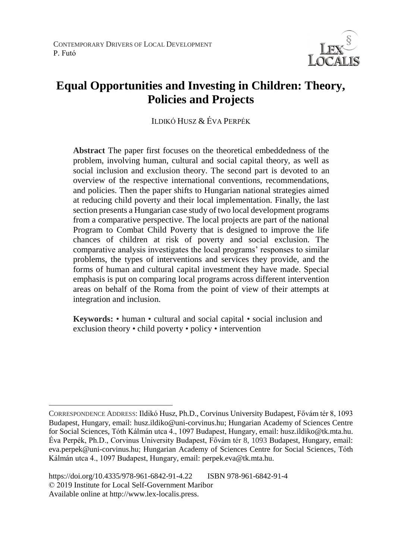

# **Equal Opportunities and Investing in Children: Theory, Policies and Projects**

ILDIKÓ HUSZ & ÉVA PERPÉK

**Abstract** The paper first focuses on the theoretical embeddedness of the problem, involving human, cultural and social capital theory, as well as social inclusion and exclusion theory. The second part is devoted to an overview of the respective international conventions, recommendations, and policies. Then the paper shifts to Hungarian national strategies aimed at reducing child poverty and their local implementation. Finally, the last section presents a Hungarian case study of two local development programs from a comparative perspective. The local projects are part of the national Program to Combat Child Poverty that is designed to improve the life chances of children at risk of poverty and social exclusion. The comparative analysis investigates the local programs' responses to similar problems, the types of interventions and services they provide, and the forms of human and cultural capital investment they have made. Special emphasis is put on comparing local programs across different intervention areas on behalf of the Roma from the point of view of their attempts at integration and inclusion.

**Keywords:** • human • cultural and social capital • social inclusion and exclusion theory • child poverty • policy • intervention

CORRESPONDENCE ADDRESS: Ildikó Husz, Ph.D., Corvinus University Budapest, Fővám tér 8, 1093 Budapest, Hungary, email: husz.ildiko@uni-corvinus.hu; Hungarian Academy of Sciences Centre for Social Sciences, Tóth Kálmán utca 4., 1097 Budapest, Hungary, email: husz.ildiko@tk.mta.hu. Éva Perpék, Ph.D., Corvinus University Budapest, Fővám tér 8, 1093 Budapest, Hungary, email: eva.perpek@uni-corvinus.hu; Hungarian Academy of Sciences Centre for Social Sciences, Tóth Kálmán utca 4., 1097 Budapest, Hungary, email: perpek.eva@tk.mta.hu.

https://doi.org/10.4335/978-961-6842-91-4.22 ISBN 978-961-6842-91-4 © 2019 Institute for Local Self-Government Maribor Available online at http://www.lex-localis.press.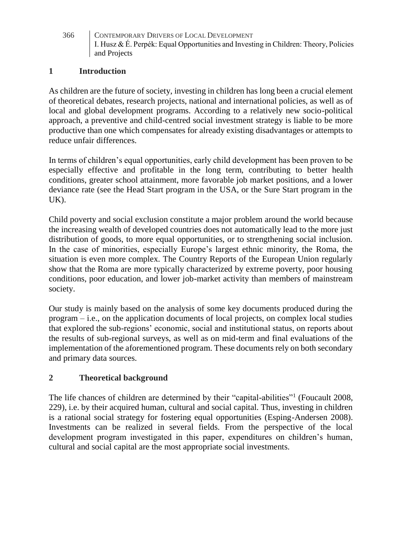#### **1 Introduction**

As children are the future of society, investing in children has long been a crucial element of theoretical debates, research projects, national and international policies, as well as of local and global development programs. According to a relatively new socio-political approach, a preventive and child-centred social investment strategy is liable to be more productive than one which compensates for already existing disadvantages or attempts to reduce unfair differences.

In terms of children's equal opportunities, early child development has been proven to be especially effective and profitable in the long term, contributing to better health conditions, greater school attainment, more favorable job market positions, and a lower deviance rate (see the Head Start program in the USA, or the Sure Start program in the UK).

Child poverty and social exclusion constitute a major problem around the world because the increasing wealth of developed countries does not automatically lead to the more just distribution of goods, to more equal opportunities, or to strengthening social inclusion. In the case of minorities, especially Europe's largest ethnic minority, the Roma, the situation is even more complex. The Country Reports of the European Union regularly show that the Roma are more typically characterized by extreme poverty, poor housing conditions, poor education, and lower job-market activity than members of mainstream society.

Our study is mainly based on the analysis of some key documents produced during the program – i.e., on the application documents of local projects, on complex local studies that explored the sub-regions' economic, social and institutional status, on reports about the results of sub-regional surveys, as well as on mid-term and final evaluations of the implementation of the aforementioned program. These documents rely on both secondary and primary data sources.

### **2 Theoretical background**

The life chances of children are determined by their "capital-abilities"<sup>1</sup> (Foucault 2008, 229), i.e. by their acquired human, cultural and social capital. Thus, investing in children is a rational social strategy for fostering equal opportunities (Esping-Andersen 2008). Investments can be realized in several fields. From the perspective of the local development program investigated in this paper, expenditures on children's human, cultural and social capital are the most appropriate social investments.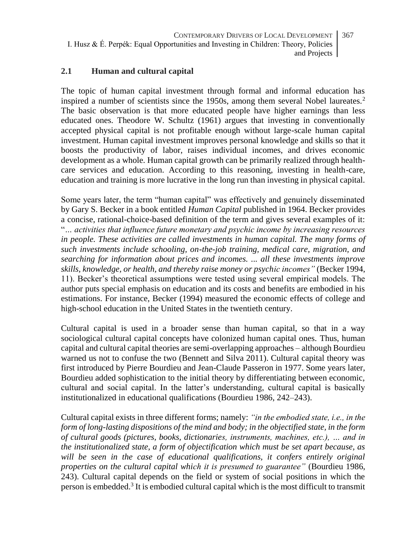#### **2.1 Human and cultural capital**

The topic of human capital investment through formal and informal education has inspired a number of scientists since the 1950s, among them several Nobel laureates.<sup>2</sup> The basic observation is that more educated people have higher earnings than less educated ones. Theodore W. Schultz (1961) argues that investing in conventionally accepted physical capital is not profitable enough without large-scale human capital investment. Human capital investment improves personal knowledge and skills so that it boosts the productivity of labor, raises individual incomes, and drives economic development as a whole. Human capital growth can be primarily realized through healthcare services and education. According to this reasoning, investing in health-care, education and training is more lucrative in the long run than investing in physical capital.

Some years later, the term "human capital" was effectively and genuinely disseminated by Gary S. Becker in a book entitled *Human Capital* published in 1964. Becker provides a concise, rational-choice-based definition of the term and gives several examples of it: "*… activities that influence future monetary and psychic income by increasing resources*  in people. These activities are called investments in human capital. The many forms of *such investments include schooling, on-the-job training, medical care, migration, and searching for information about prices and incomes. ... all these investments improve skills, knowledge, or health, and thereby raise money or psychic incomes"* (Becker 1994, 11). Becker's theoretical assumptions were tested using several empirical models. The author puts special emphasis on education and its costs and benefits are embodied in his estimations. For instance, Becker (1994) measured the economic effects of college and high-school education in the United States in the twentieth century.

Cultural capital is used in a broader sense than human capital, so that in a way sociological cultural capital concepts have colonized human capital ones. Thus, human capital and cultural capital theories are semi-overlapping approaches – although Bourdieu warned us not to confuse the two (Bennett and Silva 2011). Cultural capital theory was first introduced by Pierre Bourdieu and Jean-Claude Passeron in 1977. Some years later, Bourdieu added sophistication to the initial theory by differentiating between economic, cultural and social capital. In the latter's understanding, cultural capital is basically institutionalized in educational qualifications (Bourdieu 1986, 242–243).

Cultural capital exists in three different forms; namely: *"in the embodied state, i.e., in the form of long-lasting dispositions of the mind and body; in the objectified state, in the form of cultural goods (pictures, books, dictionaries, instruments, machines, etc.), … and in the institutionalized state, a form of objectification which must be set apart because, as*  will be seen in the case of educational qualifications, it confers entirely original *properties on the cultural capital which it is presumed to guarantee"* (Bourdieu 1986, 243). Cultural capital depends on the field or system of social positions in which the person is embedded.<sup>3</sup> It is embodied cultural capital which is the most difficult to transmit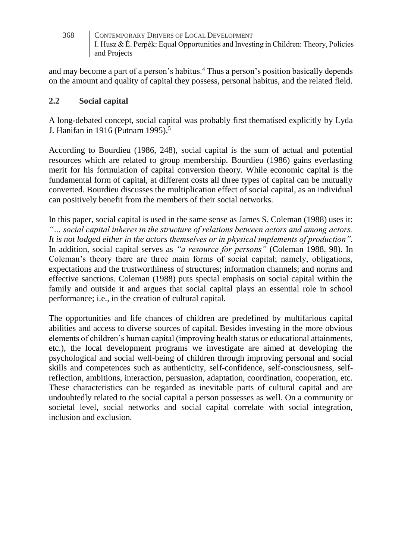and may become a part of a person's habitus.<sup>4</sup> Thus a person's position basically depends on the amount and quality of capital they possess, personal habitus, and the related field.

#### **2.2 Social capital**

A long-debated concept, social capital was probably first thematised explicitly by Lyda J. Hanifan in 1916 (Putnam 1995).<sup>5</sup>

According to Bourdieu (1986, 248), social capital is the sum of actual and potential resources which are related to group membership. Bourdieu (1986) gains everlasting merit for his formulation of capital conversion theory. While economic capital is the fundamental form of capital, at different costs all three types of capital can be mutually converted. Bourdieu discusses the multiplication effect of social capital, as an individual can positively benefit from the members of their social networks.

In this paper, social capital is used in the same sense as James S. Coleman (1988) uses it: *"… social capital inheres in the structure of relations between actors and among actors. It is not lodged either in the actors themselves or in physical implements of production".* In addition, social capital serves as *"a resource for persons"* (Coleman 1988, 98). In Coleman's theory there are three main forms of social capital; namely, obligations, expectations and the trustworthiness of structures; information channels; and norms and effective sanctions. Coleman (1988) puts special emphasis on social capital within the family and outside it and argues that social capital plays an essential role in school performance; i.e., in the creation of cultural capital.

The opportunities and life chances of children are predefined by multifarious capital abilities and access to diverse sources of capital. Besides investing in the more obvious elements of children's human capital (improving health status or educational attainments, etc.), the local development programs we investigate are aimed at developing the psychological and social well-being of children through improving personal and social skills and competences such as authenticity, self-confidence, self-consciousness, selfreflection, ambitions, interaction, persuasion, adaptation, coordination, cooperation, etc. These characteristics can be regarded as inevitable parts of cultural capital and are undoubtedly related to the social capital a person possesses as well. On a community or societal level, social networks and social capital correlate with social integration, inclusion and exclusion.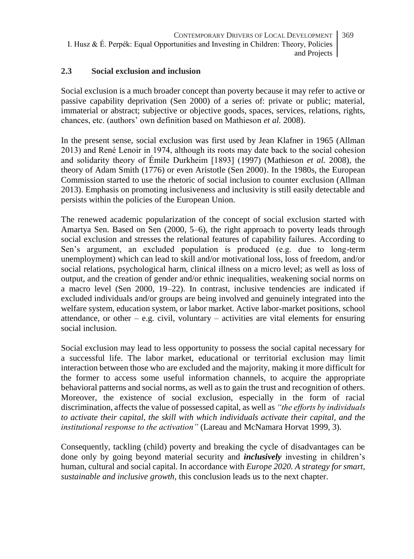#### **2.3 Social exclusion and inclusion**

Social exclusion is a much broader concept than poverty because it may refer to active or passive capability deprivation (Sen 2000) of a series of: private or public; material, immaterial or abstract; subjective or objective goods, spaces, services, relations, rights, chances, etc. (authors' own definition based on Mathieson *et al.* 2008).

In the present sense, social exclusion was first used by Jean Klafner in 1965 (Allman 2013) and René Lenoir in 1974, although its roots may date back to the social cohesion and solidarity theory of Émile Durkheim [1893] (1997) (Mathieson *et al.* 2008), the theory of Adam Smith (1776) or even Aristotle (Sen 2000). In the 1980s, the European Commission started to use the rhetoric of social inclusion to counter exclusion (Allman 2013). Emphasis on promoting inclusiveness and inclusivity is still easily detectable and persists within the policies of the European Union.

The renewed academic popularization of the concept of social exclusion started with Amartya Sen. Based on Sen (2000, 5–6), the right approach to poverty leads through social exclusion and stresses the relational features of capability failures. According to Sen's argument, an excluded population is produced (e.g. due to long-term unemployment) which can lead to skill and/or motivational loss, loss of freedom, and/or social relations, psychological harm, clinical illness on a micro level; as well as loss of output, and the creation of gender and/or ethnic inequalities, weakening social norms on a macro level (Sen 2000, 19–22). In contrast, inclusive tendencies are indicated if excluded individuals and/or groups are being involved and genuinely integrated into the welfare system, education system, or labor market. Active labor-market positions, school attendance, or other – e.g. civil, voluntary – activities are vital elements for ensuring social inclusion.

Social exclusion may lead to less opportunity to possess the social capital necessary for a successful life. The labor market, educational or territorial exclusion may limit interaction between those who are excluded and the majority, making it more difficult for the former to access some useful information channels, to acquire the appropriate behavioral patterns and social norms, as well as to gain the trust and recognition of others. Moreover, the existence of social exclusion, especially in the form of racial discrimination, affects the value of possessed capital, as well as *"the efforts by individuals to activate their capital, the skill with which individuals activate their capital, and the institutional response to the activation"* (Lareau and McNamara Horvat 1999, 3).

Consequently, tackling (child) poverty and breaking the cycle of disadvantages can be done only by going beyond material security and *inclusively* investing in children's human, cultural and social capital. In accordance with *Europe 2020. A strategy for smart, sustainable and inclusive growth,* this conclusion leads us to the next chapter.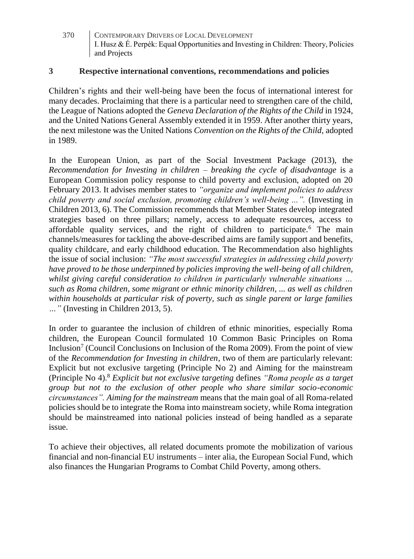#### **3 Respective international conventions, recommendations and policies**

Children's rights and their well-being have been the focus of international interest for many decades. Proclaiming that there is a particular need to strengthen care of the child, the League of Nations adopted the *Geneva Declaration of the Rights of the Child* in 1924, and the United Nations General Assembly extended it in 1959. After another thirty years, the next milestone was the United Nations *Convention on the Rights of the Child,* adopted in 1989.

In the European Union, as part of the Social Investment Package (2013), the *Recommendation for Investing in children – breaking the cycle of disadvantage* is a European Commission policy response to child poverty and exclusion, adopted on 20 February 2013. It advises member states to *"organize and implement policies to address child poverty and social exclusion, promoting children's well-being ...".* (Investing in Children 2013, 6). The Commission recommends that Member States develop integrated strategies based on three pillars; namely, access to adequate resources, access to affordable quality services, and the right of children to participate.<sup>6</sup> The main channels/measures for tackling the above-described aims are family support and benefits, quality childcare, and early childhood education. The Recommendation also highlights the issue of social inclusion: *"The most successful strategies in addressing child poverty have proved to be those underpinned by policies improving the well-being of all children, whilst giving careful consideration to children in particularly vulnerable situations … such as Roma children, some migrant or ethnic minority children, ... as well as children within households at particular risk of poverty, such as single parent or large families …"* (Investing in Children 2013, 5).

In order to guarantee the inclusion of children of ethnic minorities, especially Roma children, the European Council formulated 10 Common Basic Principles on Roma Inclusion<sup>7</sup> (Council Conclusions on Inclusion of the Roma 2009). From the point of view of the *Recommendation for Investing in children*, two of them are particularly relevant: Explicit but not exclusive targeting (Principle No 2) and Aiming for the mainstream (Principle No 4).<sup>8</sup> *Explicit but not exclusive targeting* defines *"Roma people as a target group but not to the exclusion of other people who share similar socio-economic circumstances". Aiming for the mainstream* means that the main goal of all Roma-related policies should be to integrate the Roma into mainstream society, while Roma integration should be mainstreamed into national policies instead of being handled as a separate issue.

To achieve their objectives, all related documents promote the mobilization of various financial and non-financial EU instruments – inter alia, the European Social Fund, which also finances the Hungarian Programs to Combat Child Poverty, among others.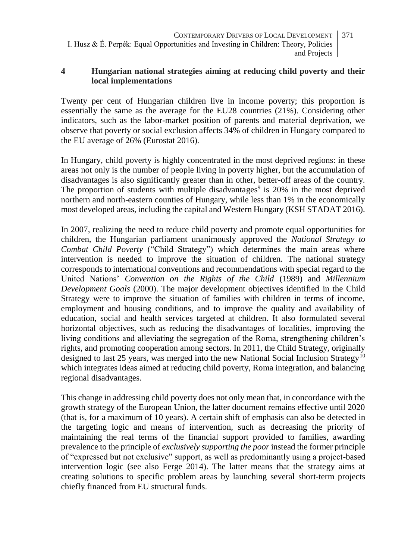#### **4 Hungarian national strategies aiming at reducing child poverty and their local implementations**

Twenty per cent of Hungarian children live in income poverty; this proportion is essentially the same as the average for the EU28 countries (21%). Considering other indicators, such as the labor-market position of parents and material deprivation, we observe that poverty or social exclusion affects 34% of children in Hungary compared to the EU average of 26% (Eurostat 2016).

In Hungary, child poverty is highly concentrated in the most deprived regions: in these areas not only is the number of people living in poverty higher, but the accumulation of disadvantages is also significantly greater than in other, better-off areas of the country. The proportion of students with multiple disadvantages<sup>9</sup> is 20% in the most deprived northern and north-eastern counties of Hungary, while less than 1% in the economically most developed areas, including the capital and Western Hungary (KSH STADAT 2016).

In 2007, realizing the need to reduce child poverty and promote equal opportunities for children, the Hungarian parliament unanimously approved the *National Strategy to Combat Child Poverty* ("Child Strategy") which determines the main areas where intervention is needed to improve the situation of children. The national strategy corresponds to international conventions and recommendations with special regard to the United Nations' *Convention on the Rights of the Child* (1989) and *Millennium Development Goals* (2000). The major development objectives identified in the Child Strategy were to improve the situation of families with children in terms of income, employment and housing conditions, and to improve the quality and availability of education, social and health services targeted at children. It also formulated several horizontal objectives, such as reducing the disadvantages of localities, improving the living conditions and alleviating the segregation of the Roma, strengthening children's rights, and promoting cooperation among sectors. In 2011, the Child Strategy, originally designed to last 25 years, was merged into the new National Social Inclusion Strategy<sup>10</sup> which integrates ideas aimed at reducing child poverty, Roma integration, and balancing regional disadvantages.

This change in addressing child poverty does not only mean that, in concordance with the growth strategy of the European Union, the latter document remains effective until 2020 (that is, for a maximum of 10 years). A certain shift of emphasis can also be detected in the targeting logic and means of intervention, such as decreasing the priority of maintaining the real terms of the financial support provided to families, awarding prevalence to the principle of *exclusively supporting the poor* instead the former principle of "expressed but not exclusive" support, as well as predominantly using a project-based intervention logic (see also Ferge 2014). The latter means that the strategy aims at creating solutions to specific problem areas by launching several short-term projects chiefly financed from EU structural funds.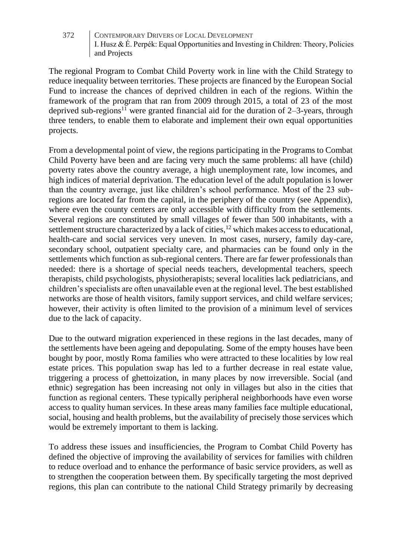The regional Program to Combat Child Poverty work in line with the Child Strategy to reduce inequality between territories. These projects are financed by the European Social Fund to increase the chances of deprived children in each of the regions. Within the framework of the program that ran from 2009 through 2015, a total of 23 of the most deprived sub-regions<sup>11</sup> were granted financial aid for the duration of 2–3-years, through three tenders, to enable them to elaborate and implement their own equal opportunities projects.

From a developmental point of view, the regions participating in the Programs to Combat Child Poverty have been and are facing very much the same problems: all have (child) poverty rates above the country average, a high unemployment rate, low incomes, and high indices of material deprivation. The education level of the adult population is lower than the country average, just like children's school performance. Most of the 23 subregions are located far from the capital, in the periphery of the country (see Appendix), where even the county centers are only accessible with difficulty from the settlements. Several regions are constituted by small villages of fewer than 500 inhabitants, with a settlement structure characterized by a lack of cities, $12$  which makes access to educational, health-care and social services very uneven. In most cases, nursery, family day-care, secondary school, outpatient specialty care, and pharmacies can be found only in the settlements which function as sub-regional centers. There are far fewer professionals than needed: there is a shortage of special needs teachers, developmental teachers, speech therapists, child psychologists, physiotherapists; several localities lack pediatricians, and children's specialists are often unavailable even at the regional level. The best established networks are those of health visitors, family support services, and child welfare services; however, their activity is often limited to the provision of a minimum level of services due to the lack of capacity.

Due to the outward migration experienced in these regions in the last decades, many of the settlements have been ageing and depopulating. Some of the empty houses have been bought by poor, mostly Roma families who were attracted to these localities by low real estate prices. This population swap has led to a further decrease in real estate value, triggering a process of ghettoization, in many places by now irreversible. Social (and ethnic) segregation has been increasing not only in villages but also in the cities that function as regional centers. These typically peripheral neighborhoods have even worse access to quality human services. In these areas many families face multiple educational, social, housing and health problems, but the availability of precisely those services which would be extremely important to them is lacking.

To address these issues and insufficiencies, the Program to Combat Child Poverty has defined the objective of improving the availability of services for families with children to reduce overload and to enhance the performance of basic service providers, as well as to strengthen the cooperation between them. By specifically targeting the most deprived regions, this plan can contribute to the national Child Strategy primarily by decreasing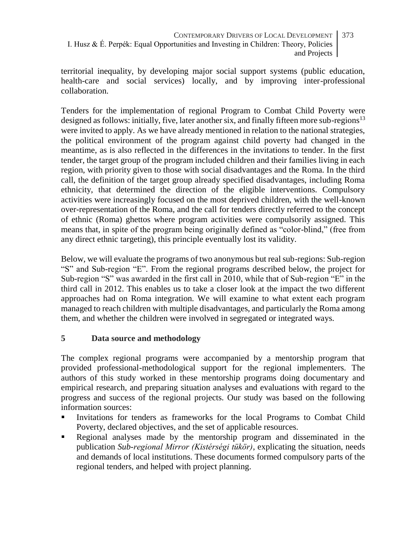territorial inequality, by developing major social support systems (public education, health-care and social services) locally, and by improving inter-professional collaboration.

Tenders for the implementation of regional Program to Combat Child Poverty were designed as follows: initially, five, later another six, and finally fifteen more sub-regions<sup>13</sup> were invited to apply. As we have already mentioned in relation to the national strategies, the political environment of the program against child poverty had changed in the meantime, as is also reflected in the differences in the invitations to tender. In the first tender, the target group of the program included children and their families living in each region, with priority given to those with social disadvantages and the Roma. In the third call, the definition of the target group already specified disadvantages, including Roma ethnicity, that determined the direction of the eligible interventions. Compulsory activities were increasingly focused on the most deprived children, with the well-known over-representation of the Roma, and the call for tenders directly referred to the concept of ethnic (Roma) ghettos where program activities were compulsorily assigned. This means that, in spite of the program being originally defined as "color-blind," (free from any direct ethnic targeting), this principle eventually lost its validity.

Below, we will evaluate the programs of two anonymous but real sub-regions: Sub-region "S" and Sub-region "E". From the regional programs described below, the project for Sub-region "S" was awarded in the first call in 2010, while that of Sub-region "E" in the third call in 2012. This enables us to take a closer look at the impact the two different approaches had on Roma integration. We will examine to what extent each program managed to reach children with multiple disadvantages, and particularly the Roma among them, and whether the children were involved in segregated or integrated ways.

### **5 Data source and methodology**

The complex regional programs were accompanied by a mentorship program that provided professional-methodological support for the regional implementers. The authors of this study worked in these mentorship programs doing documentary and empirical research, and preparing situation analyses and evaluations with regard to the progress and success of the regional projects. Our study was based on the following information sources:

- Invitations for tenders as frameworks for the local Programs to Combat Child Poverty, declared objectives, and the set of applicable resources.
- **•** Regional analyses made by the mentorship program and disseminated in the publication *Sub-regional Mirror (Kistérségi tükör)*, explicating the situation, needs and demands of local institutions. These documents formed compulsory parts of the regional tenders, and helped with project planning.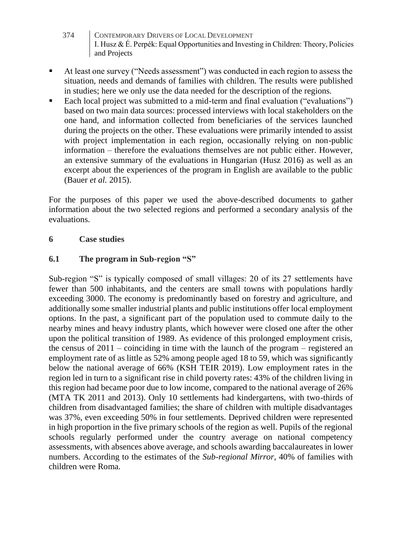- 374 CONTEMPORARY DRIVERS OF LOCAL DEVELOPMENT I. Husz & É. Perpék: Equal Opportunities and Investing in Children: Theory, Policies and Projects
- At least one survey ("Needs assessment") was conducted in each region to assess the situation, needs and demands of families with children. The results were published in studies; here we only use the data needed for the description of the regions.
- Each local project was submitted to a mid-term and final evaluation ("evaluations") based on two main data sources: processed interviews with local stakeholders on the one hand, and information collected from beneficiaries of the services launched during the projects on the other. These evaluations were primarily intended to assist with project implementation in each region, occasionally relying on non-public information – therefore the evaluations themselves are not public either. However, an extensive summary of the evaluations in Hungarian (Husz 2016) as well as an excerpt about the experiences of the program in English are available to the public (Bauer *et al.* 2015).

For the purposes of this paper we used the above-described documents to gather information about the two selected regions and performed a secondary analysis of the evaluations.

#### **6 Case studies**

#### **6.1 The program in Sub-region "S"**

Sub-region "S" is typically composed of small villages: 20 of its 27 settlements have fewer than 500 inhabitants, and the centers are small towns with populations hardly exceeding 3000. The economy is predominantly based on forestry and agriculture, and additionally some smaller industrial plants and public institutions offer local employment options. In the past, a significant part of the population used to commute daily to the nearby mines and heavy industry plants, which however were closed one after the other upon the political transition of 1989. As evidence of this prolonged employment crisis, the census of 2011 – coinciding in time with the launch of the program – registered an employment rate of as little as 52% among people aged 18 to 59, which was significantly below the national average of 66% (KSH TEIR 2019). Low employment rates in the region led in turn to a significant rise in child poverty rates: 43% of the children living in this region had became poor due to low income, compared to the national average of 26% (MTA TK 2011 and 2013). Only 10 settlements had kindergartens, with two-thirds of children from disadvantaged families; the share of children with multiple disadvantages was 37%, even exceeding 50% in four settlements. Deprived children were represented in high proportion in the five primary schools of the region as well. Pupils of the regional schools regularly performed under the country average on national competency assessments, with absences above average, and schools awarding baccalaureates in lower numbers. According to the estimates of the *Sub-regional Mirror*, 40% of families with children were Roma.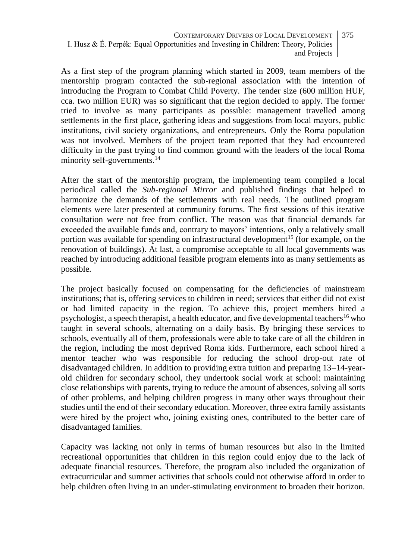As a first step of the program planning which started in 2009, team members of the mentorship program contacted the sub-regional association with the intention of introducing the Program to Combat Child Poverty. The tender size (600 million HUF, cca. two million EUR) was so significant that the region decided to apply. The former tried to involve as many participants as possible: management travelled among settlements in the first place, gathering ideas and suggestions from local mayors, public institutions, civil society organizations, and entrepreneurs. Only the Roma population was not involved. Members of the project team reported that they had encountered difficulty in the past trying to find common ground with the leaders of the local Roma minority self-governments.<sup>14</sup>

After the start of the mentorship program, the implementing team compiled a local periodical called the *Sub-regional Mirror* and published findings that helped to harmonize the demands of the settlements with real needs. The outlined program elements were later presented at community forums. The first sessions of this iterative consultation were not free from conflict. The reason was that financial demands far exceeded the available funds and, contrary to mayors' intentions, only a relatively small portion was available for spending on infrastructural development<sup>15</sup> (for example, on the renovation of buildings). At last, a compromise acceptable to all local governments was reached by introducing additional feasible program elements into as many settlements as possible.

The project basically focused on compensating for the deficiencies of mainstream institutions; that is, offering services to children in need; services that either did not exist or had limited capacity in the region. To achieve this, project members hired a psychologist, a speech therapist, a health educator, and five developmental teachers<sup>16</sup> who taught in several schools, alternating on a daily basis. By bringing these services to schools, eventually all of them, professionals were able to take care of all the children in the region, including the most deprived Roma kids. Furthermore, each school hired a mentor teacher who was responsible for reducing the school drop-out rate of disadvantaged children. In addition to providing extra tuition and preparing 13–14-yearold children for secondary school, they undertook social work at school: maintaining close relationships with parents, trying to reduce the amount of absences, solving all sorts of other problems, and helping children progress in many other ways throughout their studies until the end of their secondary education. Moreover, three extra family assistants were hired by the project who, joining existing ones, contributed to the better care of disadvantaged families.

Capacity was lacking not only in terms of human resources but also in the limited recreational opportunities that children in this region could enjoy due to the lack of adequate financial resources. Therefore, the program also included the organization of extracurricular and summer activities that schools could not otherwise afford in order to help children often living in an under-stimulating environment to broaden their horizon.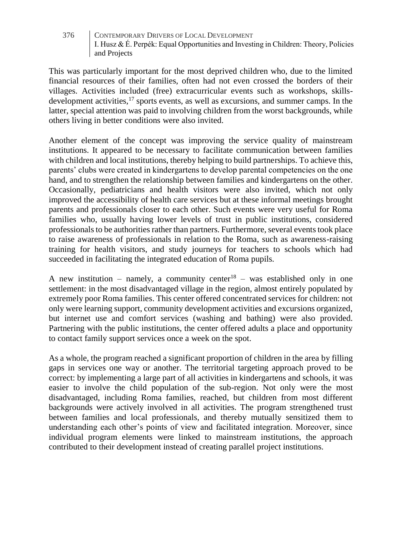This was particularly important for the most deprived children who, due to the limited financial resources of their families, often had not even crossed the borders of their villages. Activities included (free) extracurricular events such as workshops, skillsdevelopment activities,<sup>17</sup> sports events, as well as excursions, and summer camps. In the latter, special attention was paid to involving children from the worst backgrounds, while others living in better conditions were also invited.

Another element of the concept was improving the service quality of mainstream institutions. It appeared to be necessary to facilitate communication between families with children and local institutions, thereby helping to build partnerships. To achieve this, parents' clubs were created in kindergartens to develop parental competencies on the one hand, and to strengthen the relationship between families and kindergartens on the other. Occasionally, pediatricians and health visitors were also invited, which not only improved the accessibility of health care services but at these informal meetings brought parents and professionals closer to each other. Such events were very useful for Roma families who, usually having lower levels of trust in public institutions, considered professionals to be authorities rather than partners. Furthermore, several events took place to raise awareness of professionals in relation to the Roma, such as awareness-raising training for health visitors, and study journeys for teachers to schools which had succeeded in facilitating the integrated education of Roma pupils.

A new institution – namely, a community center<sup>18</sup> – was established only in one settlement: in the most disadvantaged village in the region, almost entirely populated by extremely poor Roma families. This center offered concentrated services for children: not only were learning support, community development activities and excursions organized, but internet use and comfort services (washing and bathing) were also provided. Partnering with the public institutions, the center offered adults a place and opportunity to contact family support services once a week on the spot.

As a whole, the program reached a significant proportion of children in the area by filling gaps in services one way or another. The territorial targeting approach proved to be correct: by implementing a large part of all activities in kindergartens and schools, it was easier to involve the child population of the sub-region. Not only were the most disadvantaged, including Roma families, reached, but children from most different backgrounds were actively involved in all activities. The program strengthened trust between families and local professionals, and thereby mutually sensitized them to understanding each other's points of view and facilitated integration. Moreover, since individual program elements were linked to mainstream institutions, the approach contributed to their development instead of creating parallel project institutions.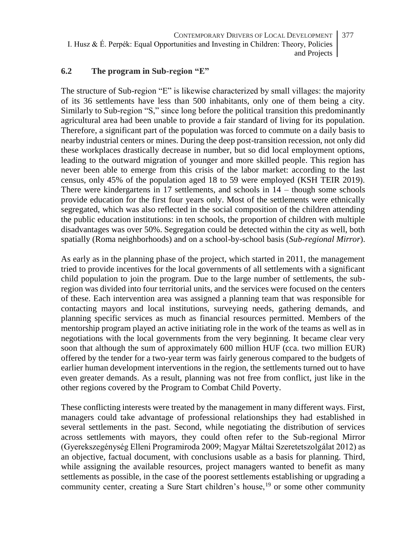#### **6.2 The program in Sub-region "E"**

The structure of Sub-region "E" is likewise characterized by small villages: the majority of its 36 settlements have less than 500 inhabitants, only one of them being a city. Similarly to Sub-region "S," since long before the political transition this predominantly agricultural area had been unable to provide a fair standard of living for its population. Therefore, a significant part of the population was forced to commute on a daily basis to nearby industrial centers or mines. During the deep post-transition recession, not only did these workplaces drastically decrease in number, but so did local employment options, leading to the outward migration of younger and more skilled people. This region has never been able to emerge from this crisis of the labor market: according to the last census, only 45% of the population aged 18 to 59 were employed (KSH TEIR 2019). There were kindergartens in 17 settlements, and schools in 14 – though some schools provide education for the first four years only. Most of the settlements were ethnically segregated, which was also reflected in the social composition of the children attending the public education institutions: in ten schools, the proportion of children with multiple disadvantages was over 50%. Segregation could be detected within the city as well, both spatially (Roma neighborhoods) and on a school-by-school basis (*Sub-regional Mirror*).

As early as in the planning phase of the project, which started in 2011, the management tried to provide incentives for the local governments of all settlements with a significant child population to join the program. Due to the large number of settlements, the subregion was divided into four territorial units, and the services were focused on the centers of these. Each intervention area was assigned a planning team that was responsible for contacting mayors and local institutions, surveying needs, gathering demands, and planning specific services as much as financial resources permitted. Members of the mentorship program played an active initiating role in the work of the teams as well as in negotiations with the local governments from the very beginning. It became clear very soon that although the sum of approximately 600 million HUF (cca. two million EUR) offered by the tender for a two-year term was fairly generous compared to the budgets of earlier human development interventions in the region, the settlements turned out to have even greater demands. As a result, planning was not free from conflict, just like in the other regions covered by the Program to Combat Child Poverty.

These conflicting interests were treated by the management in many different ways. First, managers could take advantage of professional relationships they had established in several settlements in the past. Second, while negotiating the distribution of services across settlements with mayors, they could often refer to the Sub-regional Mirror (Gyerekszegénység Elleni Programiroda 2009; Magyar Máltai Szeretetszolgálat 2012) as an objective, factual document, with conclusions usable as a basis for planning. Third, while assigning the available resources, project managers wanted to benefit as many settlements as possible, in the case of the poorest settlements establishing or upgrading a community center, creating a Sure Start children's house,<sup>19</sup> or some other community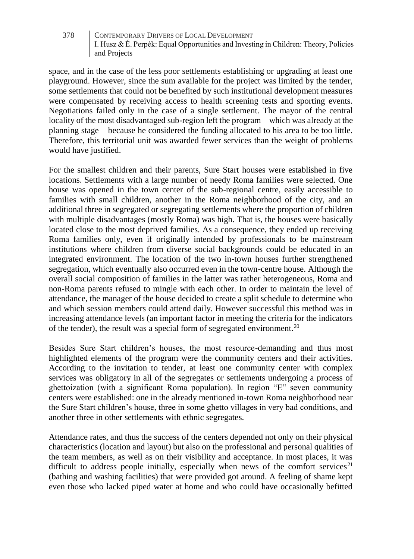space, and in the case of the less poor settlements establishing or upgrading at least one playground. However, since the sum available for the project was limited by the tender, some settlements that could not be benefited by such institutional development measures were compensated by receiving access to health screening tests and sporting events. Negotiations failed only in the case of a single settlement. The mayor of the central locality of the most disadvantaged sub-region left the program – which was already at the planning stage – because he considered the funding allocated to his area to be too little. Therefore, this territorial unit was awarded fewer services than the weight of problems would have justified.

For the smallest children and their parents, Sure Start houses were established in five locations. Settlements with a large number of needy Roma families were selected. One house was opened in the town center of the sub-regional centre, easily accessible to families with small children, another in the Roma neighborhood of the city, and an additional three in segregated or segregating settlements where the proportion of children with multiple disadvantages (mostly Roma) was high. That is, the houses were basically located close to the most deprived families. As a consequence, they ended up receiving Roma families only, even if originally intended by professionals to be mainstream institutions where children from diverse social backgrounds could be educated in an integrated environment. The location of the two in-town houses further strengthened segregation, which eventually also occurred even in the town-centre house. Although the overall social composition of families in the latter was rather heterogeneous, Roma and non-Roma parents refused to mingle with each other. In order to maintain the level of attendance, the manager of the house decided to create a split schedule to determine who and which session members could attend daily. However successful this method was in increasing attendance levels (an important factor in meeting the criteria for the indicators of the tender), the result was a special form of segregated environment.<sup>20</sup>

Besides Sure Start children's houses, the most resource-demanding and thus most highlighted elements of the program were the community centers and their activities. According to the invitation to tender, at least one community center with complex services was obligatory in all of the segregates or settlements undergoing a process of ghettoization (with a significant Roma population). In region "E" seven community centers were established: one in the already mentioned in-town Roma neighborhood near the Sure Start children's house, three in some ghetto villages in very bad conditions, and another three in other settlements with ethnic segregates.

Attendance rates, and thus the success of the centers depended not only on their physical characteristics (location and layout) but also on the professional and personal qualities of the team members, as well as on their visibility and acceptance. In most places, it was difficult to address people initially, especially when news of the comfort services<sup>21</sup> (bathing and washing facilities) that were provided got around. A feeling of shame kept even those who lacked piped water at home and who could have occasionally befitted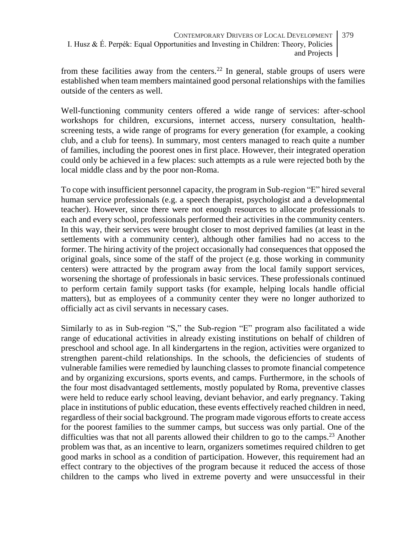from these facilities away from the centers.<sup>22</sup> In general, stable groups of users were established when team members maintained good personal relationships with the families outside of the centers as well.

Well-functioning community centers offered a wide range of services: after-school workshops for children, excursions, internet access, nursery consultation, healthscreening tests, a wide range of programs for every generation (for example, a cooking club, and a club for teens). In summary, most centers managed to reach quite a number of families, including the poorest ones in first place. However, their integrated operation could only be achieved in a few places: such attempts as a rule were rejected both by the local middle class and by the poor non-Roma.

To cope with insufficient personnel capacity, the program in Sub-region "E" hired several human service professionals (e.g. a speech therapist, psychologist and a developmental teacher). However, since there were not enough resources to allocate professionals to each and every school, professionals performed their activities in the community centers. In this way, their services were brought closer to most deprived families (at least in the settlements with a community center), although other families had no access to the former. The hiring activity of the project occasionally had consequences that opposed the original goals, since some of the staff of the project (e.g. those working in community centers) were attracted by the program away from the local family support services, worsening the shortage of professionals in basic services. These professionals continued to perform certain family support tasks (for example, helping locals handle official matters), but as employees of a community center they were no longer authorized to officially act as civil servants in necessary cases.

Similarly to as in Sub-region "S," the Sub-region "E" program also facilitated a wide range of educational activities in already existing institutions on behalf of children of preschool and school age. In all kindergartens in the region, activities were organized to strengthen parent-child relationships. In the schools, the deficiencies of students of vulnerable families were remedied by launching classes to promote financial competence and by organizing excursions, sports events, and camps. Furthermore, in the schools of the four most disadvantaged settlements, mostly populated by Roma, preventive classes were held to reduce early school leaving, deviant behavior, and early pregnancy. Taking place in institutions of public education, these events effectively reached children in need, regardless of their social background. The program made vigorous efforts to create access for the poorest families to the summer camps, but success was only partial. One of the difficulties was that not all parents allowed their children to go to the camps.<sup>23</sup> Another problem was that, as an incentive to learn, organizers sometimes required children to get good marks in school as a condition of participation. However, this requirement had an effect contrary to the objectives of the program because it reduced the access of those children to the camps who lived in extreme poverty and were unsuccessful in their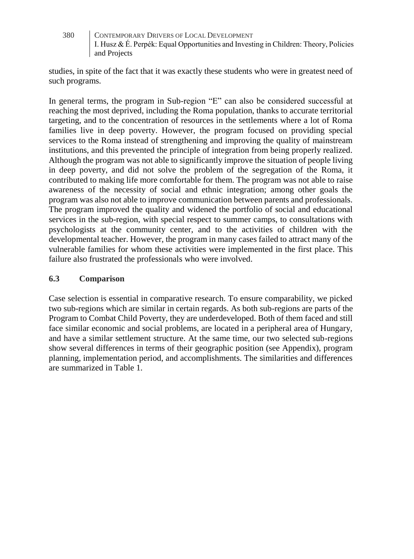studies, in spite of the fact that it was exactly these students who were in greatest need of such programs.

In general terms, the program in Sub-region "E" can also be considered successful at reaching the most deprived, including the Roma population, thanks to accurate territorial targeting, and to the concentration of resources in the settlements where a lot of Roma families live in deep poverty. However, the program focused on providing special services to the Roma instead of strengthening and improving the quality of mainstream institutions, and this prevented the principle of integration from being properly realized. Although the program was not able to significantly improve the situation of people living in deep poverty, and did not solve the problem of the segregation of the Roma, it contributed to making life more comfortable for them. The program was not able to raise awareness of the necessity of social and ethnic integration; among other goals the program was also not able to improve communication between parents and professionals. The program improved the quality and widened the portfolio of social and educational services in the sub-region, with special respect to summer camps, to consultations with psychologists at the community center, and to the activities of children with the developmental teacher. However, the program in many cases failed to attract many of the vulnerable families for whom these activities were implemented in the first place. This failure also frustrated the professionals who were involved.

### **6.3 Comparison**

Case selection is essential in comparative research. To ensure comparability, we picked two sub-regions which are similar in certain regards. As both sub-regions are parts of the Program to Combat Child Poverty, they are underdeveloped. Both of them faced and still face similar economic and social problems, are located in a peripheral area of Hungary, and have a similar settlement structure. At the same time, our two selected sub-regions show several differences in terms of their geographic position (see Appendix), program planning, implementation period, and accomplishments. The similarities and differences are summarized in Table 1.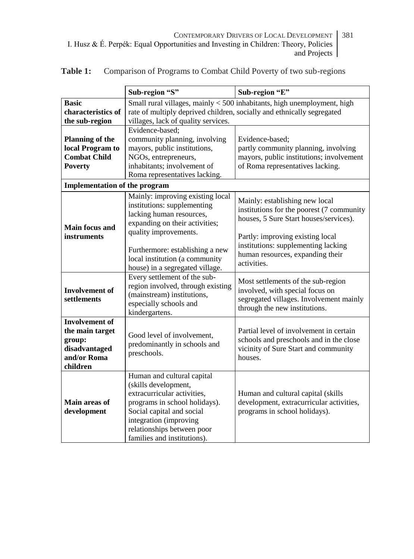|                                                                                                | Sub-region "S"                                                                                                                                                                                                                         | Sub-region "E"                                                                                                                                            |
|------------------------------------------------------------------------------------------------|----------------------------------------------------------------------------------------------------------------------------------------------------------------------------------------------------------------------------------------|-----------------------------------------------------------------------------------------------------------------------------------------------------------|
| <b>Basic</b><br>characteristics of<br>the sub-region                                           | Small rural villages, mainly < 500 inhabitants, high unemployment, high<br>rate of multiply deprived children, socially and ethnically segregated<br>villages, lack of quality services.                                               |                                                                                                                                                           |
| <b>Planning of the</b><br>local Program to<br><b>Combat Child</b><br><b>Poverty</b>            | Evidence-based;<br>community planning, involving<br>mayors, public institutions,<br>NGOs, entrepreneurs,<br>inhabitants; involvement of<br>Roma representatives lacking.                                                               | Evidence-based;<br>partly community planning, involving<br>mayors, public institutions; involvement<br>of Roma representatives lacking.                   |
| <b>Implementation of the program</b>                                                           |                                                                                                                                                                                                                                        |                                                                                                                                                           |
| Main focus and<br>instruments                                                                  | Mainly: improving existing local<br>institutions: supplementing<br>lacking human resources,<br>expanding on their activities;<br>quality improvements.                                                                                 | Mainly: establishing new local<br>institutions for the poorest (7 community<br>houses, 5 Sure Start houses/services).<br>Partly: improving existing local |
|                                                                                                | Furthermore: establishing a new<br>local institution (a community<br>house) in a segregated village.                                                                                                                                   | institutions: supplementing lacking<br>human resources, expanding their<br>activities.                                                                    |
| <b>Involvement of</b><br>settlements                                                           | Every settlement of the sub-<br>region involved, through existing<br>(mainstream) institutions,<br>especially schools and<br>kindergartens.                                                                                            | Most settlements of the sub-region<br>involved, with special focus on<br>segregated villages. Involvement mainly<br>through the new institutions.         |
| <b>Involvement of</b><br>the main target<br>group:<br>disadvantaged<br>and/or Roma<br>children | Good level of involvement,<br>predominantly in schools and<br>preschools.                                                                                                                                                              | Partial level of involvement in certain<br>schools and preschools and in the close<br>vicinity of Sure Start and community<br>houses.                     |
| Main areas of<br>development                                                                   | Human and cultural capital<br>(skills development,<br>extracurricular activities.<br>programs in school holidays).<br>Social capital and social<br>integration (improving<br>relationships between poor<br>families and institutions). | Human and cultural capital (skills<br>development, extracurricular activities,<br>programs in school holidays).                                           |

**Table 1:** Comparison of Programs to Combat Child Poverty of two sub-regions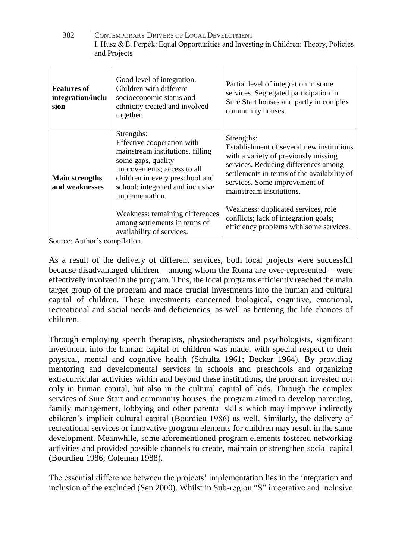| 382 | CONTEMPORARY DRIVERS OF LOCAL DEVELOPMENT                                            |
|-----|--------------------------------------------------------------------------------------|
|     | I. Husz & É. Perpék: Equal Opportunities and Investing in Children: Theory, Policies |
|     | and Projects                                                                         |

| <b>Features of</b><br>integration/inclu<br>sion | Good level of integration.<br>Children with different<br>socioeconomic status and<br>ethnicity treated and involved<br>together.                                                                                            | Partial level of integration in some<br>services. Segregated participation in<br>Sure Start houses and partly in complex<br>community houses.                                                                                                       |
|-------------------------------------------------|-----------------------------------------------------------------------------------------------------------------------------------------------------------------------------------------------------------------------------|-----------------------------------------------------------------------------------------------------------------------------------------------------------------------------------------------------------------------------------------------------|
| <b>Main strengths</b><br>and weaknesses         | Strengths:<br>Effective cooperation with<br>mainstream institutions, filling<br>some gaps, quality<br>improvements; access to all<br>children in every preschool and<br>school; integrated and inclusive<br>implementation. | Strengths:<br>Establishment of several new institutions<br>with a variety of previously missing<br>services. Reducing differences among<br>settlements in terms of the availability of<br>services. Some improvement of<br>mainstream institutions. |
|                                                 | Weakness: remaining differences<br>among settlements in terms of<br>availability of services.                                                                                                                               | Weakness: duplicated services, role<br>conflicts; lack of integration goals;<br>efficiency problems with some services.                                                                                                                             |

Source: Author's compilation.

As a result of the delivery of different services, both local projects were successful because disadvantaged children – among whom the Roma are over-represented – were effectively involved in the program. Thus, the local programs efficiently reached the main target group of the program and made crucial investments into the human and cultural capital of children. These investments concerned biological, cognitive, emotional, recreational and social needs and deficiencies, as well as bettering the life chances of children.

Through employing speech therapists, physiotherapists and psychologists, significant investment into the human capital of children was made, with special respect to their physical, mental and cognitive health (Schultz 1961; Becker 1964). By providing mentoring and developmental services in schools and preschools and organizing extracurricular activities within and beyond these institutions, the program invested not only in human capital, but also in the cultural capital of kids. Through the complex services of Sure Start and community houses, the program aimed to develop parenting, family management, lobbying and other parental skills which may improve indirectly children's implicit cultural capital (Bourdieu 1986) as well. Similarly, the delivery of recreational services or innovative program elements for children may result in the same development. Meanwhile, some aforementioned program elements fostered networking activities and provided possible channels to create, maintain or strengthen social capital (Bourdieu 1986; Coleman 1988).

The essential difference between the projects' implementation lies in the integration and inclusion of the excluded (Sen 2000). Whilst in Sub-region "S" integrative and inclusive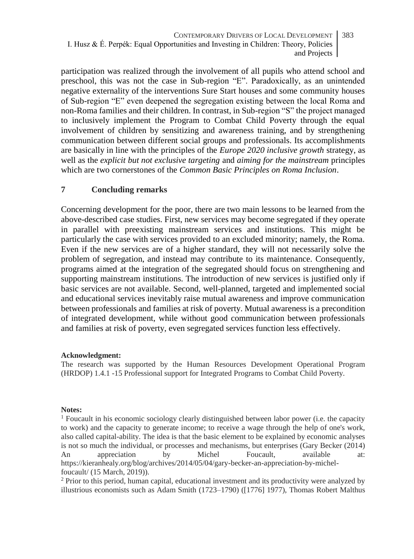participation was realized through the involvement of all pupils who attend school and preschool, this was not the case in Sub-region "E". Paradoxically, as an unintended negative externality of the interventions Sure Start houses and some community houses of Sub-region "E" even deepened the segregation existing between the local Roma and non-Roma families and their children. In contrast, in Sub-region "S" the project managed to inclusively implement the Program to Combat Child Poverty through the equal involvement of children by sensitizing and awareness training, and by strengthening communication between different social groups and professionals. Its accomplishments are basically in line with the principles of the *Europe 2020 inclusive growth* strategy, as well as the *explicit but not exclusive targeting* and *aiming for the mainstream* principles which are two cornerstones of the *Common Basic Principles on Roma Inclusion*.

#### **7 Concluding remarks**

Concerning development for the poor, there are two main lessons to be learned from the above-described case studies. First, new services may become segregated if they operate in parallel with preexisting mainstream services and institutions. This might be particularly the case with services provided to an excluded minority; namely, the Roma. Even if the new services are of a higher standard, they will not necessarily solve the problem of segregation, and instead may contribute to its maintenance. Consequently, programs aimed at the integration of the segregated should focus on strengthening and supporting mainstream institutions. The introduction of new services is justified only if basic services are not available. Second, well-planned, targeted and implemented social and educational services inevitably raise mutual awareness and improve communication between professionals and families at risk of poverty. Mutual awareness is a precondition of integrated development, while without good communication between professionals and families at risk of poverty, even segregated services function less effectively.

#### **Acknowledgment:**

The research was supported by the Human Resources Development Operational Program (HRDOP) 1.4.1 -15 Professional support for Integrated Programs to Combat Child Poverty.

#### **Notes:**

 $<sup>1</sup>$  Foucault in his economic sociology clearly distinguished between labor power (i.e. the capacity</sup> to work) and the capacity to generate income; to receive a wage through the help of one's work, also called capital-ability. The idea is that the basic element to be explained by economic analyses is not so much the individual, or processes and mechanisms, but enterprises (Gary Becker (2014) An appreciation by Michel Foucault, available at: https://kieranhealy.org/blog/archives/2014/05/04/gary-becker-an-appreciation-by-michelfoucault/ (15 March, 2019)).

<sup>2</sup> Prior to this period, human capital, educational investment and its productivity were analyzed by illustrious economists such as Adam Smith (1723–1790) ([1776] 1977), Thomas Robert Malthus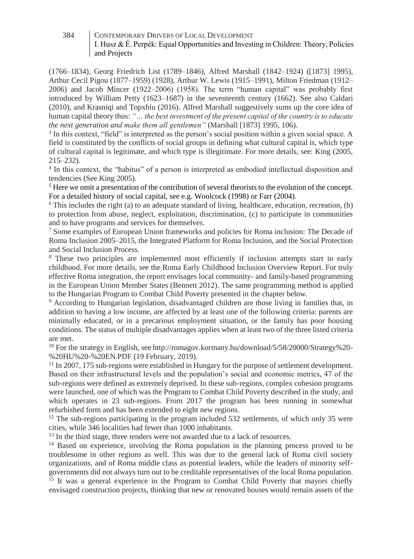- (1766–1834), Georg Friedrich List (1789–1846), Alfred Marshall (1842–1924) ([1873] 1995), Arthur Cecil Pigou (1877–1959) (1928), Arthur W. Lewis (1915–1991), Milton Friedman (1912– 2006) and Jacob Mincer (1922–2006) (1958). The term "human capital" was probably first introduced by William Petty (1623–1687) in the seventeenth century (1662). See also Caldari (2010), and Krasniqi and Topxhiu (2016). Alfred Marshall suggestively sums up the core idea of human capital theory thus: *"… the best investment of the present capital of the country is to educate the next generation and make them all gentlemen"* (Marshall [1873] 1995, 106).

<sup>3</sup> In this context, "field" is interpreted as the person's social position within a given social space. A field is constituted by the conflicts of social groups in defining what cultural capital is, which type of cultural capital is legitimate, and which type is illegitimate. For more details, see: King (2005, 215–232).

4 In this context, the "habitus" of a person is interpreted as embodied intellectual disposition and tendencies (See King 2005).

<sup>5</sup> Here we omit a presentation of the contribution of several theorists to the evolution of the concept. For a detailed history of social capital, see e.g. Woolcock (1998) or Farr (2004).

 $6$  This includes the right (a) to an adequate standard of living, healthcare, education, recreation, (b) to protection from abuse, neglect, exploitation, discrimination, (c) to participate in communities and to have programs and services for themselves.

<sup>7</sup> Some examples of European Union frameworks and policies for Roma inclusion: The Decade of Roma Inclusion 2005–2015, the Integrated Platform for Roma Inclusion, and the Social Protection and Social Inclusion Process.

<sup>8</sup> These two principles are implemented most efficiently if inclusion attempts start in early childhood. For more details, see the Roma Early Childhood Inclusion Overview Report. For truly effective Roma integration, the report envisages local community- and family-based programming in the European Union Member States (Bennett 2012). The same programming method is applied to the Hungarian Program to Combat Child Poverty presented in the chapter below.

<sup>9</sup> According to Hungarian legislation, disadvantaged children are those living in families that, in addition to having a low income, are affected by at least one of the following criteria: parents are minimally educated, or in a precarious employment situation, or the family has poor housing conditions. The status of multiple disadvantages applies when at least two of the three listed criteria are met.

<sup>10</sup> For the strategy in English, se[e http://romagov.kormany.hu/download/5/58/20000/Strategy%20-](http://romagov.kormany.hu/download/5/58/20000/Strategy%20-%20HU%20-%20EN.PDF) [%20HU%20-%20EN.PDF](http://romagov.kormany.hu/download/5/58/20000/Strategy%20-%20HU%20-%20EN.PDF) (19 February, 2019).

<sup>11</sup> In 2007, 175 sub-regions were established in Hungary for the purpose of settlement development. Based on their infrastructural levels and the population's social and economic metrics, 47 of the sub-regions were defined as extremely deprived. In these sub-regions, complex cohesion programs were launched, one of which was the Program to Combat Child Poverty described in the study, and which operates in 23 sub-regions. From 2017 the program has been running in somewhat refurbished form and has been extended to eight new regions.

 $12$  The sub-regions participating in the program included 532 settlements, of which only 35 were cities, while 346 localities had fewer than 1000 inhabitants.

<sup>13</sup> In the third stage, three tenders were not awarded due to a lack of resources.

<sup>14</sup> Based on experience, involving the Roma population in the planning process proved to be troublesome in other regions as well. This was due to the general lack of Roma civil society organizations, and of Roma middle class as potential leaders, while the leaders of minority selfgovernments did not always turn out to be creditable representatives of the local Roma population.

<sup>15</sup> It was a general experience in the Program to Combat Child Poverty that mayors chiefly envisaged construction projects, thinking that new or renovated houses would remain assets of the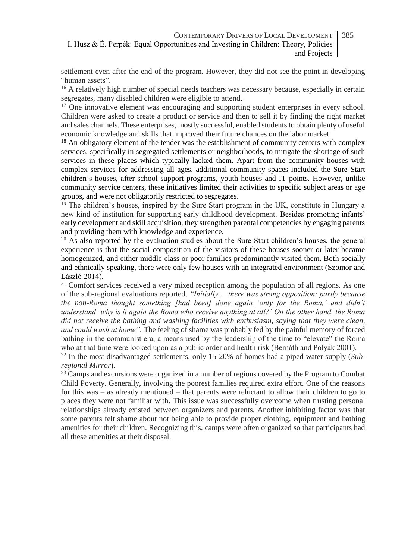settlement even after the end of the program. However, they did not see the point in developing "human assets".

<sup>16</sup> A relatively high number of special needs teachers was necessary because, especially in certain segregates, many disabled children were eligible to attend.

<sup>17</sup> One innovative element was encouraging and supporting student enterprises in every school. Children were asked to create a product or service and then to sell it by finding the right market and sales channels. These enterprises, mostly successful, enabled students to obtain plenty of useful economic knowledge and skills that improved their future chances on the labor market.

 $18$  An obligatory element of the tender was the establishment of community centers with complex services, specifically in segregated settlements or neighborhoods, to mitigate the shortage of such services in these places which typically lacked them. Apart from the community houses with complex services for addressing all ages, additional community spaces included the Sure Start children's houses, after-school support programs, youth houses and IT points. However, unlike community service centers, these initiatives limited their activities to specific subject areas or age groups, and were not obligatorily restricted to segregates.

<sup>19</sup> The children's houses, inspired by the Sure Start program in the UK, constitute in Hungary a new kind of institution for supporting early childhood development. Besides promoting infants' early development and skill acquisition, they strengthen parental competencies by engaging parents and providing them with knowledge and experience.

 $20$  As also reported by the evaluation studies about the Sure Start children's houses, the general experience is that the social composition of the visitors of these houses sooner or later became homogenized, and either middle-class or poor families predominantly visited them. Both socially and ethnically speaking, there were only few houses with an integrated environment (Szomor and László 2014).

 $21$  Comfort services received a very mixed reception among the population of all regions. As one of the sub-regional evaluations reported, *"Initially ... there was strong opposition: partly because the non-Roma thought something [had been] done again 'only for the Roma,' and didn't understand 'why is it again the Roma who receive anything at all?' On the other hand, the Roma did not receive the bathing and washing facilities with enthusiasm, saying that they were clean, and could wash at home".* The feeling of shame was probably fed by the painful memory of forced bathing in the communist era, a means used by the leadership of the time to "elevate" the Roma who at that time were looked upon as a public order and health risk (Bernáth and Polyák 2001).

<sup>22</sup> In the most disadvantaged settlements, only 15-20% of homes had a piped water supply (*Subregional Mirror*).

<sup>23</sup> Camps and excursions were organized in a number of regions covered by the Program to Combat Child Poverty. Generally, involving the poorest families required extra effort. One of the reasons for this was – as already mentioned – that parents were reluctant to allow their children to go to places they were not familiar with. This issue was successfully overcome when trusting personal relationships already existed between organizers and parents. Another inhibiting factor was that some parents felt shame about not being able to provide proper clothing, equipment and bathing amenities for their children. Recognizing this, camps were often organized so that participants had all these amenities at their disposal.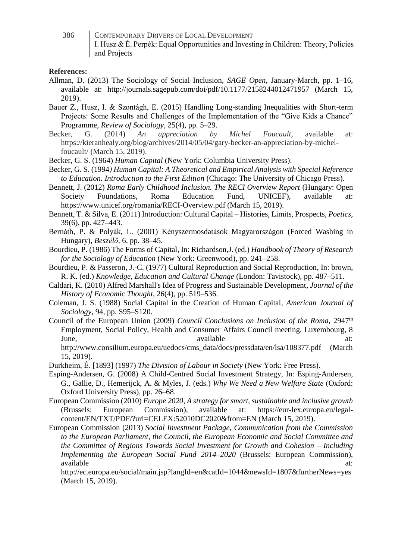| 386 | CONTEMPORARY DRIVERS OF LOCAL DEVELOPMENT                                            |
|-----|--------------------------------------------------------------------------------------|
|     | I. Husz & É. Perpék: Equal Opportunities and Investing in Children: Theory, Policies |
|     | and Projects                                                                         |

#### **References:**

- Allman, D. (2013) The Sociology of Social Inclusion, *SAGE Open,* January-March, pp. 1–16, available at: http://journals.sagepub.com/doi/pdf/10.1177/2158244012471957 (March 15, 2019).
- Bauer Z., Husz, I. & Szontágh, E. (2015) Handling Long-standing Inequalities with Short-term Projects: Some Results and Challenges of the Implementation of the "Give Kids a Chance" Programme, *Review of Sociology,* 25(4), pp. 5–29.
- Becker, G. (2014) *An appreciation by Michel Foucault,* available at: https://kieranhealy.org/blog/archives/2014/05/04/gary-becker-an-appreciation-by-michelfoucault/ (March 15, 2019).

Becker, G. S. (1964) *Human Capital* (New York: Columbia University Press).

Becker, G. S. (1994*) Human Capital: A Theoretical and Empirical Analysis with Special Reference to Education. Introduction to the First Edition* (Chicago: The University of Chicago Press).

Bennett, J. (2012) *Roma Early Childhood Inclusion. The RECI Overview Report* (Hungary: Open Society Foundations, Roma Education Fund, UNICEF), available at: https://www.unicef.org/romania/RECI-Overview.pdf (March 15, 2019).

Bennett, T. & Silva, E. (2011) Introduction: Cultural Capital – Histories, Limits, Prospects, *Poetics,* 39(6), pp. 427–443.

Bernáth, P. & Polyák, L. (2001) Kényszermosdatások Magyarországon (Forced Washing in Hungary), *Beszélő,* 6, pp. 38–45.

Bourdieu, P. (1986) The Forms of Capital, In: Richardson,J. (ed.) *Handbook of Theory of Research for the Sociology of Education* (New York: Greenwood), pp. 241–258.

Bourdieu, P. & Passeron, J.-C. (1977) Cultural Reproduction and Social Reproduction, In: brown, R. K. (ed.) *Knowledge, Education and Cultural Change* (London: Tavistock), pp. 487–511.

Caldari, K. (2010) Alfred Marshall's Idea of Progress and Sustainable Development, *Journal of the History of Economic Thought*, 26(4), pp. 519–536.

Coleman, J. S. (1988) Social Capital in the Creation of Human Capital, *American Journal of Sociology,* 94, pp. S95–S120.

Council of the European Union (2009) *Council Conclusions on Inclusion of the Roma*, 2947th Employment, Social Policy, Health and Consumer Affairs Council meeting. Luxembourg, 8 June, available at:

http://www.consilium.europa.eu/uedocs/cms\_data/docs/pressdata/en/lsa/108377.pdf (March 15, 2019).

Durkheim, É. [1893] (1997) *The Division of Labour in Society* (New York: Free Press).

- Esping-Andersen, G. (2008) A Child-Centred Social Investment Strategy, In: Esping-Andersen, G., Gallie, D., Hemerijck, A. & Myles, J. (eds.) *Why We Need a New Welfare State* (Oxford: Oxford University Press), pp. 26–68.
- European Commission (2010) *Europe 2020, A strategy for smart, sustainable and inclusive growth* (Brussels: European Commission), available at: https://eur-lex.europa.eu/legalcontent/EN/TXT/PDF/?uri=CELEX:52010DC2020&from=EN (March 15, 2019).
- European Commission (2013) *Social Investment Package, Communication from the Commission to the European Parliament, the Council, the European Economic and Social Committee and the Committee of Regions Towards Social Investment for Growth and Cohesion – Including Implementing the European Social Fund 2014–2020* (Brussels: European Commission), available available at:  $\overline{a}$  at:  $\overline{a}$  at:  $\overline{a}$  at:  $\overline{a}$  at:  $\overline{a}$

<http://ec.europa.eu/social/main.jsp?langId=en&catId=1044&newsId=1807&furtherNews=yes> (March 15, 2019).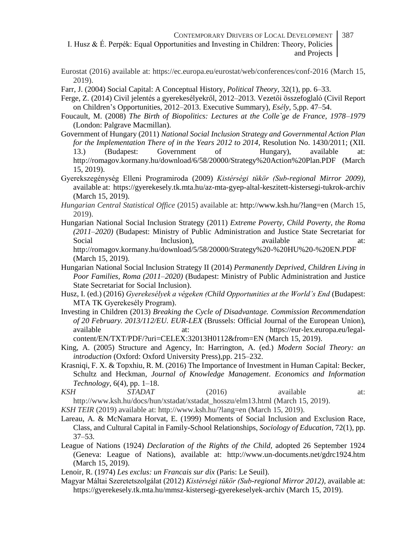- CONTEMPORARY DRIVERS OF LOCAL DEVELOPMENT I. Husz & É. Perpék: Equal Opportunities and Investing in Children: Theory, Policies and Projects 387
- Eurostat (2016) available at: https://ec.europa.eu/eurostat/web/conferences/conf-2016 (March 15, 2019).
- Farr, J. (2004) Social Capital: A Conceptual History, *Political Theory,* 32(1), pp. 6–33.
- Ferge, Z. (2014) Civil jelentés a gyerekesélyekről, 2012–2013. Vezetői összefoglaló (Civil Report on Children's Opportunities, 2012–2013. Executive Summary), *Esély,* 5,pp. 47–54.
- Foucault, M. (2008) *The Birth of Biopolitics: Lectures at the Colle`ge de France, 1978–1979* (London: Palgrave Macmillan).
- Government of Hungary (2011) *National Social Inclusion Strategy and Governmental Action Plan for the Implementation There of in the Years 2012 to 2014,* Resolution No. 1430/2011; (XII. 13.) (Budapest: Government of Hungary), available at: http://romagov.kormany.hu/download/6/58/20000/Strategy%20Action%20Plan.PDF (March 15, 2019).
- Gyerekszegénység Elleni Programiroda (2009) *Kistérségi tükör (Sub-regional Mirror 2009),* available at: https://gyerekesely.tk.mta.hu/az-mta-gyep-altal-keszitett-kistersegi-tukrok-archiv (March 15, 2019).
- *Hungarian Central Statistical Office* (2015) available at: http://www.ksh.hu/?lang=en (March 15, 2019).
- Hungarian National Social Inclusion Strategy (2011) *Extreme Poverty, Child Poverty, the Roma (2011–2020)* (Budapest: Ministry of Public Administration and Justice State Secretariat for Social Inclusion), available at: http://romagov.kormany.hu/download/5/58/20000/Strategy%20-%20HU%20-%20EN.PDF (March 15, 2019).
- Hungarian National Social Inclusion Strategy II (2014) *Permanently Deprived, Children Living in Poor Families, Roma (2011–2020)* (Budapest: Ministry of Public Administration and Justice State Secretariat for Social Inclusion).
- Husz, I. (ed.) (2016) *Gyerekesélyek a végeken (Child Opportunities at the World's End* (Budapest: MTA TK Gyerekesély Program).
- Investing in Children (2013) *Breaking the Cycle of Disadvantage. Commission Recommendation of 20 February. 2013/112/EU. EUR-LEX* (Brussels: Official Journal of the European Union), available at: https://eur-lex.europa.eu/legalcontent/EN/TXT/PDF/?uri=CELEX:32013H0112&from=EN (March 15, 2019).
- King, A. (2005) Structure and Agency, In: Harrington, A. (ed.) *Modern Social Theory: an introduction* (Oxford: Oxford University Press),pp. 215–232.
- Krasniqi, F. X. & Topxhiu, R. M. (2016) The Importance of Investment in Human Capital: Becker, Schultz and Heckman, *Journal of Knowledge Management*. *Economics and Information Technology*, 6(4), pp. 1–18.
- *KSH STADAT* (2016) available at: http://www.ksh.hu/docs/hun/xstadat/xstadat\_hosszu/elm13.html (March 15, 2019).
- *KSH TEIR* (2019) available at: http://www.ksh.hu/?lang=en (March 15, 2019).
- Lareau, A. & McNamara Horvat, E. (1999) Moments of Social Inclusion and Exclusion Race, Class, and Cultural Capital in Family-School Relationships, *Sociology of Education*, 72(1), pp. 37–53.
- League of Nations (1924) *Declaration of the Rights of the Child,* adopted 26 September 1924 (Geneva: League of Nations), available at: http://www.un-documents.net/gdrc1924.htm (March 15, 2019).
- Lenoir, R. (1974) *Les exclus: un Francais sur dix* (Paris: Le Seuil).
- Magyar Máltai Szeretetszolgálat (2012) *Kistérségi tükör (Sub-regional Mirror 2012)*, available at: https://gyerekesely.tk.mta.hu/mmsz-kistersegi-gyerekeselyek-archiv (March 15, 2019).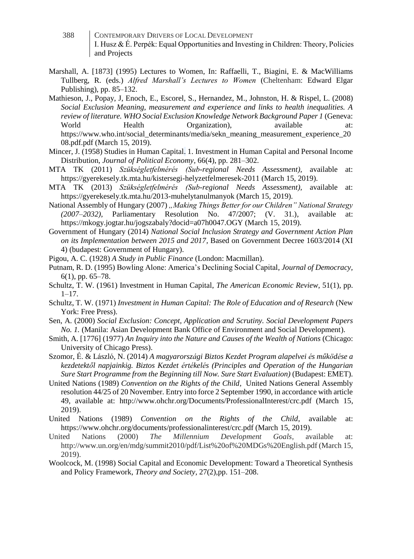- 388 CONTEMPORARY DRIVERS OF LOCAL DEVELOPMENT I. Husz & É. Perpék: Equal Opportunities and Investing in Children: Theory, Policies and Projects
- Marshall, A. [1873] (1995) Lectures to Women, In: Raffaelli, T., Biagini, E. & MacWilliams Tullberg, R. (eds.) *Alfred Marshall's Lectures to Women* (Cheltenham: Edward Elgar Publishing), pp. 85–132.
- Mathieson, J., Popay, J, Enoch, E., Escorel, S., Hernandez, M., Johnston, H. & Rispel, L. (2008) *Social Exclusion Meaning, measurement and experience and links to health inequalities. A review of literature. WHO Social Exclusion Knowledge Network Background Paper 1* (Geneva: World Health Organization), available at: https://www.who.int/social\_determinants/media/sekn\_meaning\_measurement\_experience\_20 08.pdf.pdf (March 15, 2019).
- Mincer, J. (1958) Studies in Human Capital. 1. Investment in Human Capital and Personal Income Distribution, *Journal of Political Economy,* 66(4), pp. 281–302.
- MTA TK (2011) *Szükségletfelmérés (Sub-regional Needs Assessment),* available at: https://gyerekesely.tk.mta.hu/kistersegi-helyzetfelmeresek-2011 (March 15, 2019).
- MTA TK (2013) *Szükségletfelmérés (Sub-regional Needs Assessment),* available at: https://gyerekesely.tk.mta.hu/2013-muhelytanulmanyok (March 15, 2019).
- National Assembly of Hungary (2007) *"Making Things Better for our Children" National Strategy (2007–2032),* Parliamentary Resolution No. 47/2007; (V. 31.), available at: https://mkogy.jogtar.hu/jogszabaly?docid=a07h0047.OGY (March 15, 2019).
- Government of Hungary (2014) *National Social Inclusion Strategy and Government Action Plan on its Implementation between 2015 and 2017,* Based on Government Decree 1603/2014 (XI 4) (budapest: Government of Hungary).
- Pigou, A. C. (1928) *A Study in Public Finance* (London: Macmillan).
- Putnam, R. D. (1995) Bowling Alone: America's Declining Social Capital, *Journal of Democracy,* 6(1), pp. 65–78.
- Schultz, T. W. (1961) Investment in Human Capital, *The American Economic Review*, 51(1), pp.  $1 - 17$ .
- Schultz, T. W. (1971) *Investment in Human Capital: The Role of Education and of Research* (New York: Free Press).
- Sen, A. (2000) *Social Exclusion: Concept, Application and Scrutiny. Social Development Papers No. 1.* (Manila: Asian Development Bank Office of Environment and Social Development).
- Smith, A. [1776] (1977) *An Inquiry into the Nature and Causes of the Wealth of Nations* (Chicago: University of Chicago Press).
- Szomor, É. & László, N. (2014) *A magyarországi Biztos Kezdet Program alapelvei és működése a kezdetektől napjainkig. Biztos Kezdet értékelés (Principles and Operation of the Hungarian Sure Start Programme from the Beginning till Now. Sure Start Evaluation)* (Budapest: EMET).
- United Nations (1989) *Convention on the Rights of the Child,* United Nations General Assembly resolution 44/25 of 20 November. Entry into force 2 September 1990, in accordance with article 49, available at: http://www.ohchr.org/Documents/ProfessionalInterest/crc.pdf (March 15, 2019).
- United Nations (1989) *Convention on the Rights of the Child,* available at: https://www.ohchr.org/documents/professionalinterest/crc.pdf (March 15, 2019).
- United Nations (2000) *The Millennium Development Goals,* available at: http://www.un.org/en/mdg/summit2010/pdf/List%20of%20MDGs%20English.pdf (March 15, 2019).
- Woolcock, M. (1998) Social Capital and Economic Development: Toward a Theoretical Synthesis and Policy Framework, *Theory and Society,* 27(2),pp. 151–208.